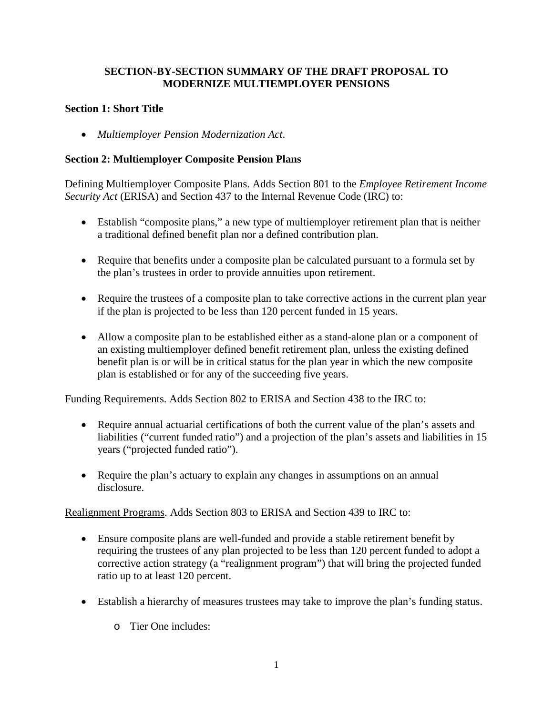## **SECTION-BY-SECTION SUMMARY OF THE DRAFT PROPOSAL TO MODERNIZE MULTIEMPLOYER PENSIONS**

## **Section 1: Short Title**

• *Multiemployer Pension Modernization Act*.

### **Section 2: Multiemployer Composite Pension Plans**

Defining Multiemployer Composite Plans. Adds Section 801 to the *Employee Retirement Income Security Act* (ERISA) and Section 437 to the Internal Revenue Code (IRC) to:

- Establish "composite plans," a new type of multiemployer retirement plan that is neither a traditional defined benefit plan nor a defined contribution plan.
- Require that benefits under a composite plan be calculated pursuant to a formula set by the plan's trustees in order to provide annuities upon retirement.
- Require the trustees of a composite plan to take corrective actions in the current plan year if the plan is projected to be less than 120 percent funded in 15 years.
- Allow a composite plan to be established either as a stand-alone plan or a component of an existing multiemployer defined benefit retirement plan, unless the existing defined benefit plan is or will be in critical status for the plan year in which the new composite plan is established or for any of the succeeding five years.

Funding Requirements. Adds Section 802 to ERISA and Section 438 to the IRC to:

- Require annual actuarial certifications of both the current value of the plan's assets and liabilities ("current funded ratio") and a projection of the plan's assets and liabilities in 15 years ("projected funded ratio").
- Require the plan's actuary to explain any changes in assumptions on an annual disclosure.

Realignment Programs. Adds Section 803 to ERISA and Section 439 to IRC to:

- Ensure composite plans are well-funded and provide a stable retirement benefit by requiring the trustees of any plan projected to be less than 120 percent funded to adopt a corrective action strategy (a "realignment program") that will bring the projected funded ratio up to at least 120 percent.
- Establish a hierarchy of measures trustees may take to improve the plan's funding status.
	- o Tier One includes: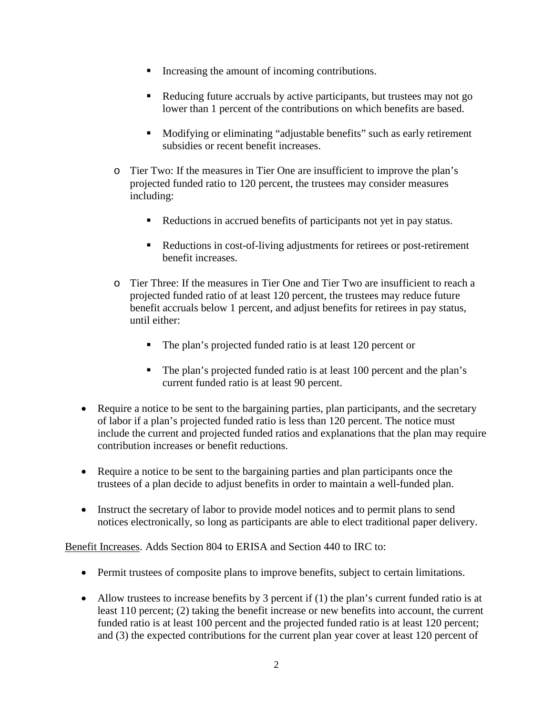- Increasing the amount of incoming contributions.
- Reducing future accruals by active participants, but trustees may not go lower than 1 percent of the contributions on which benefits are based.
- Modifying or eliminating "adjustable benefits" such as early retirement subsidies or recent benefit increases.
- o Tier Two: If the measures in Tier One are insufficient to improve the plan's projected funded ratio to 120 percent, the trustees may consider measures including:
	- Reductions in accrued benefits of participants not yet in pay status.
	- Reductions in cost-of-living adjustments for retirees or post-retirement benefit increases.
- o Tier Three: If the measures in Tier One and Tier Two are insufficient to reach a projected funded ratio of at least 120 percent, the trustees may reduce future benefit accruals below 1 percent, and adjust benefits for retirees in pay status, until either:
	- The plan's projected funded ratio is at least 120 percent or
	- The plan's projected funded ratio is at least 100 percent and the plan's current funded ratio is at least 90 percent.
- Require a notice to be sent to the bargaining parties, plan participants, and the secretary of labor if a plan's projected funded ratio is less than 120 percent. The notice must include the current and projected funded ratios and explanations that the plan may require contribution increases or benefit reductions.
- Require a notice to be sent to the bargaining parties and plan participants once the trustees of a plan decide to adjust benefits in order to maintain a well-funded plan.
- Instruct the secretary of labor to provide model notices and to permit plans to send notices electronically, so long as participants are able to elect traditional paper delivery.

Benefit Increases. Adds Section 804 to ERISA and Section 440 to IRC to:

- Permit trustees of composite plans to improve benefits, subject to certain limitations.
- Allow trustees to increase benefits by 3 percent if (1) the plan's current funded ratio is at least 110 percent; (2) taking the benefit increase or new benefits into account, the current funded ratio is at least 100 percent and the projected funded ratio is at least 120 percent; and (3) the expected contributions for the current plan year cover at least 120 percent of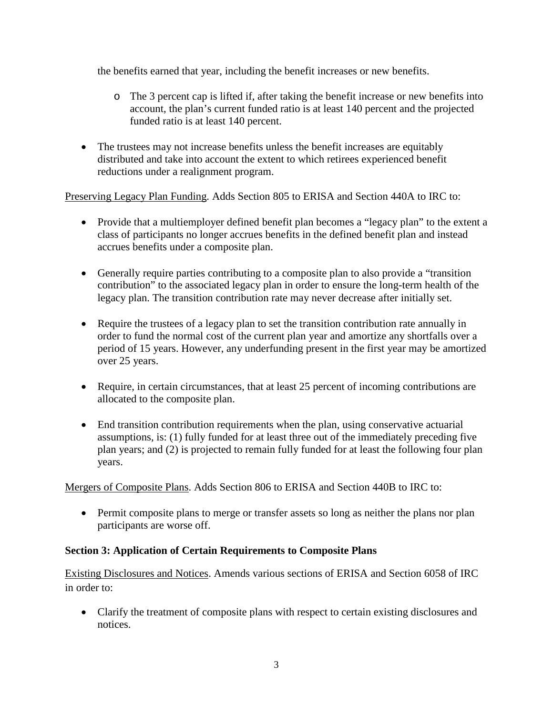the benefits earned that year, including the benefit increases or new benefits.

- o The 3 percent cap is lifted if, after taking the benefit increase or new benefits into account, the plan's current funded ratio is at least 140 percent and the projected funded ratio is at least 140 percent.
- The trustees may not increase benefits unless the benefit increases are equitably distributed and take into account the extent to which retirees experienced benefit reductions under a realignment program.

Preserving Legacy Plan Funding. Adds Section 805 to ERISA and Section 440A to IRC to:

- Provide that a multiemployer defined benefit plan becomes a "legacy plan" to the extent a class of participants no longer accrues benefits in the defined benefit plan and instead accrues benefits under a composite plan.
- Generally require parties contributing to a composite plan to also provide a "transition contribution" to the associated legacy plan in order to ensure the long-term health of the legacy plan. The transition contribution rate may never decrease after initially set.
- Require the trustees of a legacy plan to set the transition contribution rate annually in order to fund the normal cost of the current plan year and amortize any shortfalls over a period of 15 years. However, any underfunding present in the first year may be amortized over 25 years.
- Require, in certain circumstances, that at least 25 percent of incoming contributions are allocated to the composite plan.
- End transition contribution requirements when the plan, using conservative actuarial assumptions, is: (1) fully funded for at least three out of the immediately preceding five plan years; and (2) is projected to remain fully funded for at least the following four plan years.

Mergers of Composite Plans. Adds Section 806 to ERISA and Section 440B to IRC to:

• Permit composite plans to merge or transfer assets so long as neither the plans nor plan participants are worse off.

# **Section 3: Application of Certain Requirements to Composite Plans**

Existing Disclosures and Notices. Amends various sections of ERISA and Section 6058 of IRC in order to:

• Clarify the treatment of composite plans with respect to certain existing disclosures and notices.